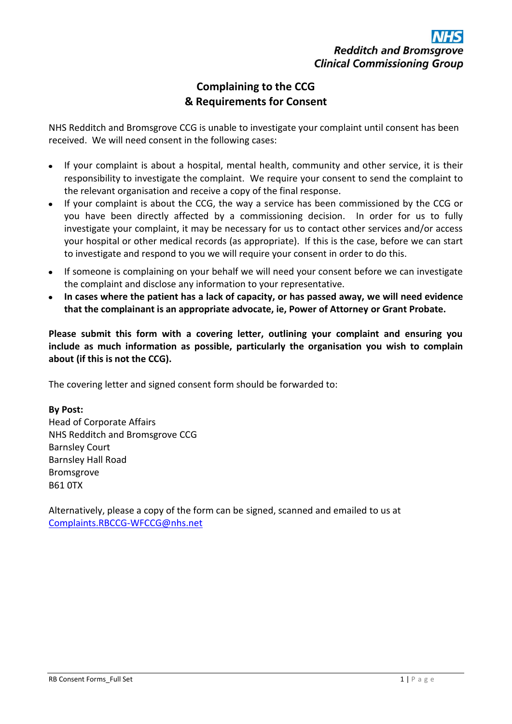## **Complaining to the CCG & Requirements for Consent**

NHS Redditch and Bromsgrove CCG is unable to investigate your complaint until consent has been received. We will need consent in the following cases:

- If your complaint is about a hospital, mental health, community and other service, it is their responsibility to investigate the complaint. We require your consent to send the complaint to the relevant organisation and receive a copy of the final response.
- If your complaint is about the CCG, the way a service has been commissioned by the CCG or you have been directly affected by a commissioning decision. In order for us to fully investigate your complaint, it may be necessary for us to contact other services and/or access your hospital or other medical records (as appropriate). If this is the case, before we can start to investigate and respond to you we will require your consent in order to do this.
- If someone is complaining on your behalf we will need your consent before we can investigate the complaint and disclose any information to your representative.
- **In cases where the patient has a lack of capacity, or has passed away, we will need evidence that the complainant is an appropriate advocate, ie, Power of Attorney or Grant Probate.**

**Please submit this form with a covering letter, outlining your complaint and ensuring you include as much information as possible, particularly the organisation you wish to complain about (if this is not the CCG).**

The covering letter and signed consent form should be forwarded to:

### **By Post:**

Head of Corporate Affairs NHS Redditch and Bromsgrove CCG Barnsley Court Barnsley Hall Road Bromsgrove B61 0TX

Alternatively, please a copy of the form can be signed, scanned and emailed to us at [Complaints.RBCCG-WFCCG@nhs.net](mailto:Complaints.RBCCG-WFCCG@nhs.net)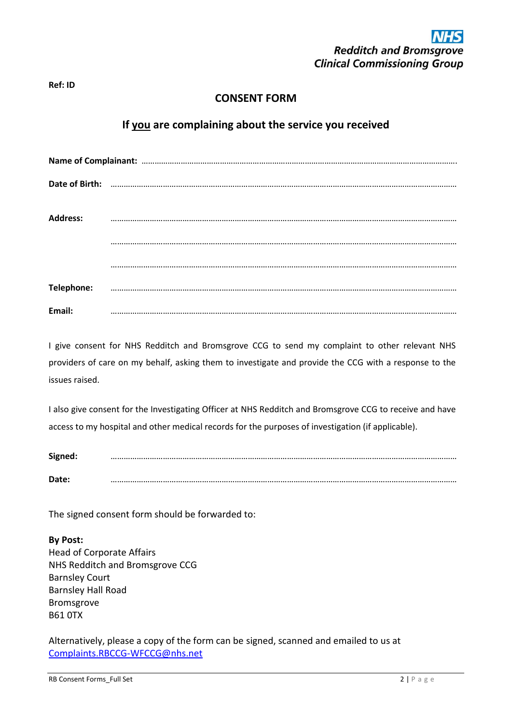#### **Ref: ID**

### **CONSENT FORM**

### **If you are complaining about the service you received**

| Date of Birth:  |  |
|-----------------|--|
| <b>Address:</b> |  |
|                 |  |
|                 |  |
| Telephone:      |  |
| Email:          |  |

I give consent for NHS Redditch and Bromsgrove CCG to send my complaint to other relevant NHS providers of care on my behalf, asking them to investigate and provide the CCG with a response to the issues raised.

I also give consent for the Investigating Officer at NHS Redditch and Bromsgrove CCG to receive and have access to my hospital and other medical records for the purposes of investigation (if applicable).

**Signed:** …………………………………………………………………………………………………………………………………………… **Date:** ……………………………………………………………………………………………………………………………………………

The signed consent form should be forwarded to:

**By Post:** Head of Corporate Affairs NHS Redditch and Bromsgrove CCG Barnsley Court Barnsley Hall Road Bromsgrove B61 0TX

Alternatively, please a copy of the form can be signed, scanned and emailed to us at [Complaints.RBCCG-WFCCG@nhs.net](mailto:Complaints.RBCCG-WFCCG@nhs.net)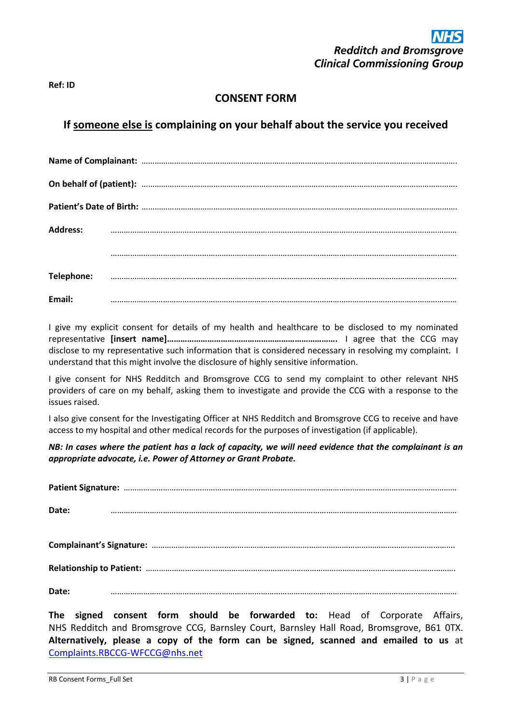## **CONSENT FORM**

# **If someone else is complaining on your behalf about the service you received**

| <b>Address:</b> |  |  |  |  |
|-----------------|--|--|--|--|
|                 |  |  |  |  |
|                 |  |  |  |  |
| Telephone:      |  |  |  |  |
|                 |  |  |  |  |
| Email:          |  |  |  |  |

I give my explicit consent for details of my health and healthcare to be disclosed to my nominated representative **[insert name]………………………………………………………………….** I agree that the CCG may disclose to my representative such information that is considered necessary in resolving my complaint. I understand that this might involve the disclosure of highly sensitive information.

I give consent for NHS Redditch and Bromsgrove CCG to send my complaint to other relevant NHS providers of care on my behalf, asking them to investigate and provide the CCG with a response to the issues raised.

I also give consent for the Investigating Officer at NHS Redditch and Bromsgrove CCG to receive and have access to my hospital and other medical records for the purposes of investigation (if applicable).

*NB: In cases where the patient has a lack of capacity, we will need evidence that the complainant is an appropriate advocate, i.e. Power of Attorney or Grant Probate.*

| Date: |  |  |                                                                           |  |  |  |
|-------|--|--|---------------------------------------------------------------------------|--|--|--|
|       |  |  |                                                                           |  |  |  |
|       |  |  |                                                                           |  |  |  |
| Date: |  |  |                                                                           |  |  |  |
|       |  |  | The signed consent form should be forwarded to: Head of Cornorate Affairs |  |  |  |

**The signed consent form should be forwarded to:** Head of Corporate Affairs, NHS Redditch and Bromsgrove CCG, Barnsley Court, Barnsley Hall Road, Bromsgrove, B61 0TX. **Alternatively, please a copy of the form can be signed, scanned and emailed to us** at [Complaints.RBCCG-WFCCG@nhs.net](mailto:Complaints.RBCCG-WFCCG@nhs.net)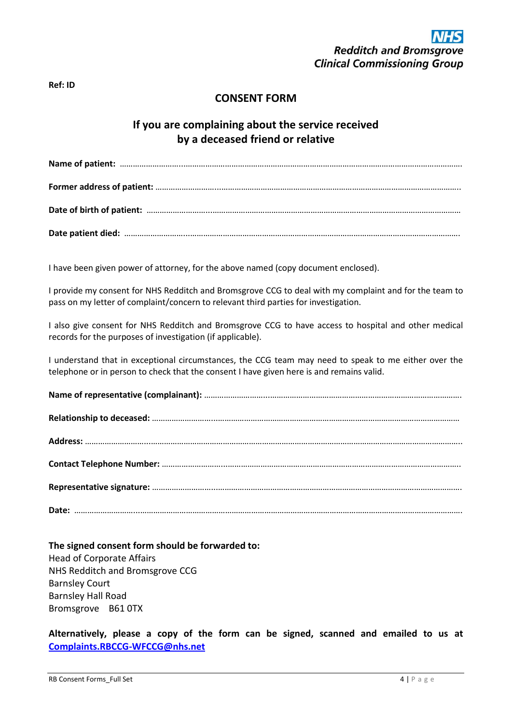#### **Ref: ID**

### **CONSENT FORM**

## **If you are complaining about the service received by a deceased friend or relative**

**Name of patient:** ………………………...………………………………………………………………………………………………………………. **Former address of patient:** ………………………...……………………………………………………………………………………………….. **Date of birth of patient:** ………………………...…………………………………………………………………………………………………… **Date patient died:** ………………………...…………………………………………………………………………………………………………….

I have been given power of attorney, for the above named (copy document enclosed).

I provide my consent for NHS Redditch and Bromsgrove CCG to deal with my complaint and for the team to pass on my letter of complaint/concern to relevant third parties for investigation.

I also give consent for NHS Redditch and Bromsgrove CCG to have access to hospital and other medical records for the purposes of investigation (if applicable).

I understand that in exceptional circumstances, the CCG team may need to speak to me either over the telephone or in person to check that the consent I have given here is and remains valid.

### **The signed consent form should be forwarded to:** Head of Corporate Affairs NHS Redditch and Bromsgrove CCG Barnsley Court Barnsley Hall Road Bromsgrove B61 0TX

**Alternatively, please a copy of the form can be signed, scanned and emailed to us at [Complaints.RBCCG-WFCCG@nhs.net](mailto:Complaints.RBCCG-WFCCG@nhs.net)**